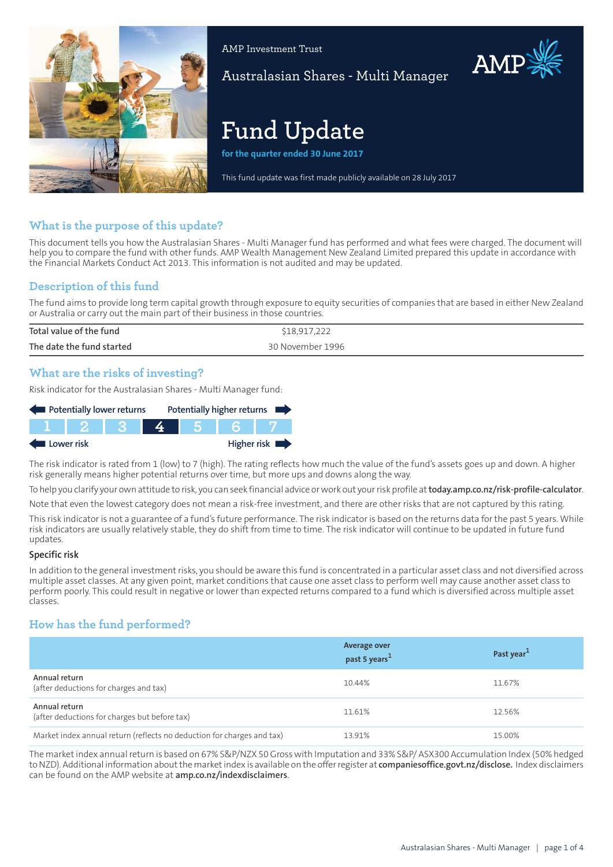

AMP Investment Trust

Australasian Shares - Multi Manager

# **Fund Update**

**for the quarter ended 30 June 2017**

This fund update was first made publicly available on 28 July 2017

## **What is the purpose of this update?**

This document tells you how the Australasian Shares - Multi Manager fund has performed and what fees were charged. The document will help you to compare the fund with other funds. AMP Wealth Management New Zealand Limited prepared this update in accordance with the Financial Markets Conduct Act 2013. This information is not audited and may be updated.

## **Description of this fund**

The fund aims to provide long term capital growth through exposure to equity securities of companies that are based in either New Zealand or Australia or carry out the main part of their business in those countries.

| Total value of the fund   | \$18,917,222     |
|---------------------------|------------------|
| The date the fund started | 30 November 1996 |
|                           |                  |

## **What are the risks of investing?**

Risk indicator for the Australasian Shares - Multi Manager fund:

| Potentially lower returns |  |  |  |  | Potentially higher returns |  |
|---------------------------|--|--|--|--|----------------------------|--|
|                           |  |  |  |  |                            |  |
| Higher risk<br>Lower risk |  |  |  |  |                            |  |

The risk indicator is rated from 1 (low) to 7 (high). The rating reflects how much the value of the fund's assets goes up and down. A higher risk generally means higher potential returns over time, but more ups and downs along the way.

To help you clarify your own attitude to risk, you can seek financial advice orwork out yourrisk profile at**[today.amp.co.nz/risk-profile-calculator](http://today.amp.co.nz/risk-profile-calculator)**.

Note that even the lowest category does not mean a risk-free investment, and there are other risks that are not captured by this rating.

This risk indicator is not a guarantee of a fund's future performance. The risk indicator is based on the returns data for the past 5 years. While risk indicators are usually relatively stable, they do shift from time to time. The risk indicator will continue to be updated in future fund updates.

#### **Specific risk**

In addition to the general investmentrisks, you should be aware this fund is concentrated in a particular asset class and not diversified across multiple asset classes. At any given point, market conditions that cause one asset class to perform well may cause another asset class to perform poorly. This could result in negative or lower than expected returns compared to a fund which is diversified across multiple asset classes.

## **How has the fund performed?**

|                                                                        | <b>Average over</b><br>past 5 years <sup>1</sup> | Past year <sup>1</sup> |
|------------------------------------------------------------------------|--------------------------------------------------|------------------------|
| Annual return<br>(after deductions for charges and tax)                | 10.44%                                           | 11.67%                 |
| Annual return<br>(after deductions for charges but before tax)         | 11.61%                                           | 12.56%                 |
| Market index annual return (reflects no deduction for charges and tax) | 13.91%                                           | 15.00%                 |

The marketindex annualreturn is based on 67% S&P/NZX 50Gross with Imputation and 33% S&P/ ASX300 Accumulation Index (50% hedged to NZD). Additional information aboutthe marketindex is available on the offerregister at **[companiesoffice.govt.nz/disclose.](http://companiesoffice.govt.nz/disclose)** Index disclaimers can be found on the AMP website at **[amp.co.nz/indexdisclaimers](http://amp.co.nz/indexdisclaimers)**.

AMP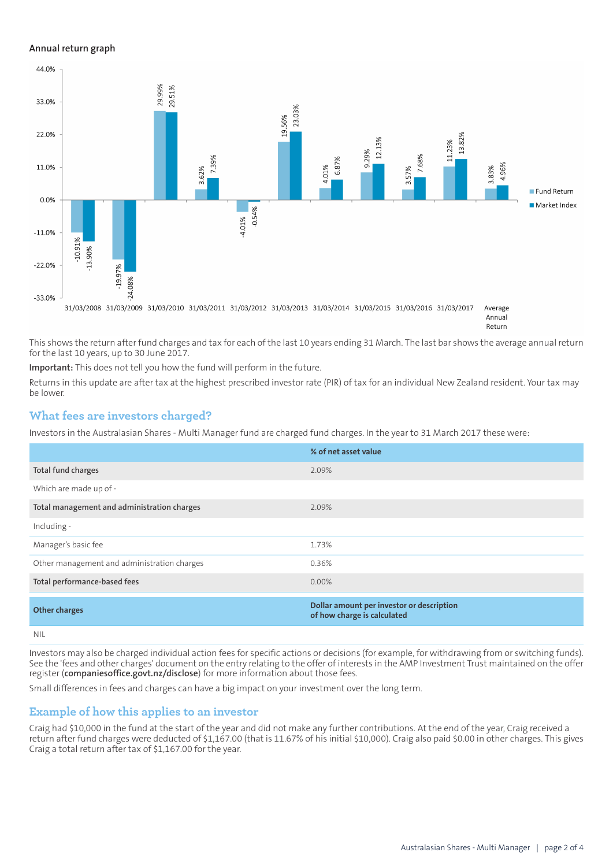#### **Annual return graph**



This shows the return after fund charges and tax for each of the last 10 years ending 31 March. The last bar shows the average annual return for the last 10 years, up to 30 June 2017.

**Important:** This does not tell you how the fund will perform in the future.

Returns in this update are after tax at the highest prescribed investor rate (PIR) of tax for an individual New Zealand resident. Your tax may be lower.

## **What fees are investors charged?**

Investors in the Australasian Shares - Multi Manager fund are charged fund charges. In the year to 31 March 2017 these were:

|                                             | % of net asset value                                                     |
|---------------------------------------------|--------------------------------------------------------------------------|
| Total fund charges                          | 2.09%                                                                    |
| Which are made up of -                      |                                                                          |
| Total management and administration charges | 2.09%                                                                    |
| Including -                                 |                                                                          |
| Manager's basic fee                         | 1.73%                                                                    |
| Other management and administration charges | 0.36%                                                                    |
| Total performance-based fees                | $0.00\%$                                                                 |
| <b>Other charges</b>                        | Dollar amount per investor or description<br>of how charge is calculated |
| <b>NIL</b>                                  |                                                                          |

Investors may also be charged individual action fees for specific actions or decisions (for example, for withdrawing from or switching funds). See the 'fees and other charges' document on the entry relating to the offer of interests in the AMP Investment Trust maintained on the offer register (**[companiesoffice.govt.nz/disclose](http://companiesoffice.govt.nz/disclose)**) for more information about those fees.

Small differences in fees and charges can have a big impact on your investment over the long term.

### **Example of how this applies to an investor**

Craig had \$10,000 in the fund at the start of the year and did not make any further contributions. At the end of the year, Craig received a return after fund charges were deducted of \$1,167.00 (that is 11.67% of his initial \$10,000). Craig also paid \$0.00 in other charges. This gives Craig a total return after tax of \$1,167.00 for the year.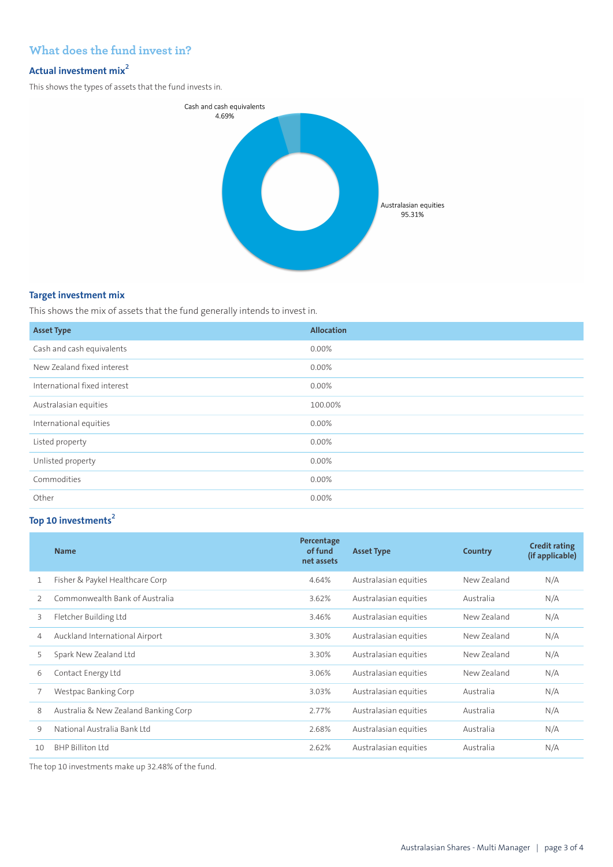## **What does the fund invest in?**

# **Actual investment mix<sup>2</sup>**

This shows the types of assets that the fund invests in.



#### **Target investment mix**

This shows the mix of assets that the fund generally intends to invest in.

| <b>Asset Type</b>            | <b>Allocation</b> |
|------------------------------|-------------------|
| Cash and cash equivalents    | 0.00%             |
| New Zealand fixed interest   | 0.00%             |
| International fixed interest | 0.00%             |
| Australasian equities        | 100.00%           |
| International equities       | 0.00%             |
| Listed property              | 0.00%             |
| Unlisted property            | 0.00%             |
| Commodities                  | 0.00%             |
| Other                        | 0.00%             |

# **Top 10 investments<sup>2</sup>**

|               | <b>Name</b>                          | Percentage<br>of fund<br>net assets | <b>Asset Type</b>     | Country     | <b>Credit rating</b><br>(if applicable) |
|---------------|--------------------------------------|-------------------------------------|-----------------------|-------------|-----------------------------------------|
| 1             | Fisher & Paykel Healthcare Corp      | 4.64%                               | Australasian equities | New Zealand | N/A                                     |
| $\mathcal{P}$ | Commonwealth Bank of Australia       | 3.62%                               | Australasian equities | Australia   | N/A                                     |
| 3             | Fletcher Building Ltd                | 3.46%                               | Australasian equities | New Zealand | N/A                                     |
| 4             | Auckland International Airport       | 3.30%                               | Australasian equities | New Zealand | N/A                                     |
| 5             | Spark New Zealand Ltd                | 3.30%                               | Australasian equities | New Zealand | N/A                                     |
| 6             | Contact Energy Ltd                   | 3.06%                               | Australasian equities | New Zealand | N/A                                     |
|               | Westpac Banking Corp                 | 3.03%                               | Australasian equities | Australia   | N/A                                     |
| 8             | Australia & New Zealand Banking Corp | 2.77%                               | Australasian equities | Australia   | N/A                                     |
| 9             | National Australia Bank Itd          | 2.68%                               | Australasian equities | Australia   | N/A                                     |
| 10            | BHP Billiton Itd                     | 2.62%                               | Australasian equities | Australia   | N/A                                     |

The top 10 investments make up 32.48% of the fund.